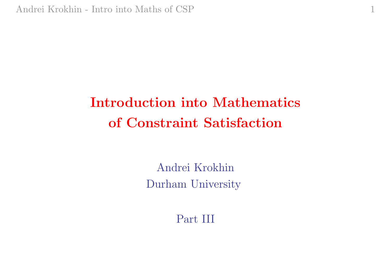# Introduction into Mathematics of Constraint Satisfaction

1

Andrei Krokhin Durham University

Part III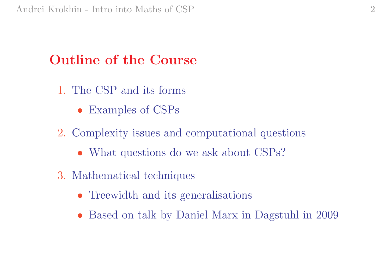## Outline of the Course

- 1. The CSP and its forms
	- Examples of CSPs
- 2. Complexity issues and computational questions
	- What questions do we ask about CSPs?
- 3. Mathematical techniques
	- Treewidth and its generalisations
	- Based on talk by Daniel Marx in Dagstuhl in 2009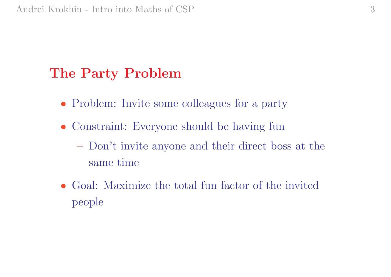#### The Party Problem

- Problem: Invite some colleagues for a party
- Constraint: Everyone should be having fun
	- Don't invite anyone and their direct boss at the same time
- Goal: Maximize the total fun factor of the invited people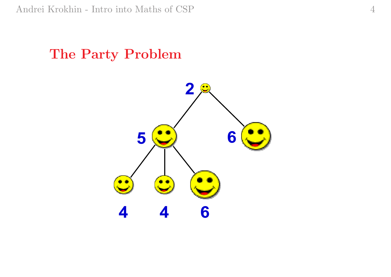#### The Party Problem

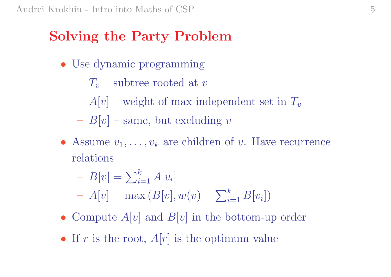## Solving the Party Problem

- Use dynamic programming
	- $-T_v$  subtree rooted at v
	- $-$  A[v] weight of max independent set in  $T_v$
	- $B[v]$  same, but excluding v
- Assume  $v_1, \ldots, v_k$  are children of v. Have recurrence relations
	- $B[v] = \sum$  $\,k$  $_{i=1}^{\kappa}$   $A[v_i]$ ]  $P[v] = \sum_{i=1}^{N} P[v_i]$ <br>  $- A[v] = \max(B[v], w(v) + \sum v_i$  $\,k$  $_{i=1}^{\kappa}$   $B[v_i])$
- Compute  $A[v]$  and  $B[v]$  in the bottom-up order
- If r is the root,  $A[r]$  is the optimum value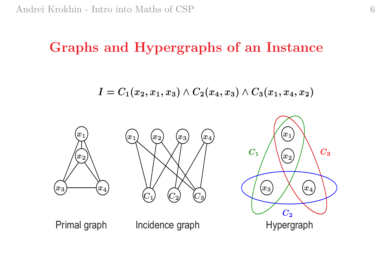#### Graphs and Hypergraphs of an Instance

$$
I=C_1(x_2,x_1,x_3)\wedge C_2(x_4,x_3)\wedge C_3(x_1,x_4,x_2)
$$

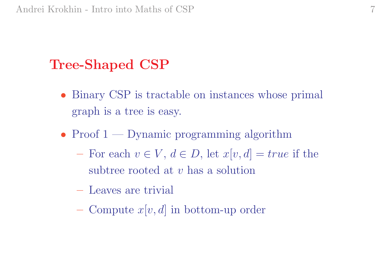## Tree-Shaped CSP

- Binary CSP is tractable on instances whose primal graph is <sup>a</sup> tree is easy.
- Proof  $1$  Dynamic programming algorithm
	- $\text{For each } v \in V, d \in D, \text{ let } x[v, d] = true \text{ if the }$ subtree rooted at  $v$  has a solution
	- Leaves are trivial
	- Compute  $x[v, d]$  in bottom-up order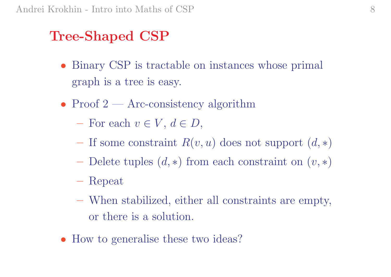## Tree-Shaped CSP

- Binary CSP is tractable on instances whose primal graph is <sup>a</sup> tree is easy.
- Proof  $2$  Arc-consistency algorithm
	- $-$  For each  $v \in V, d \in D$ ,
	- $-$  If some constraint  $R(v, u)$  does not support  $(d, *)$
	- $-$  Delete tuples  $(d,*)$  from each constraint on  $(v,*)$
	- Repeat
	- When stabilized, either all constraints are empty, or there is <sup>a</sup> solution.
- How to generalise these two ideas?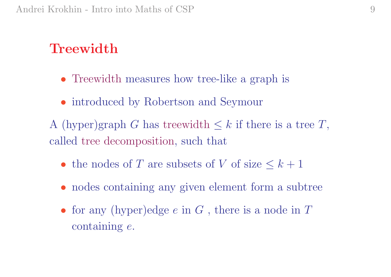### **Treewidth**

- Treewidth measures how tree-like a graph is
- introduced by Robertson and Seymour
- A (hyper)graph G has treewidth  $\leq k$  if there is a tree T, called tree decomposition, such that
	- the nodes of T are subsets of V of size  $\leq k+1$
	- nodes containing any given element form a subtree
	- for any (hyper)edge  $e$  in  $G$ , there is a node in  $T$  $\rm{containing}\,\,e.$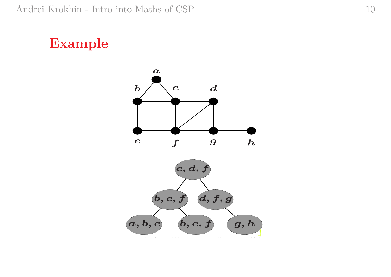#### Example

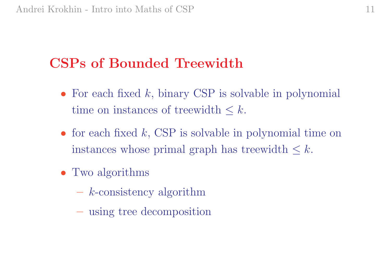## CSPs of Bounded Treewidth

- For each fixed  $k$ , binary CSP is solvable in polynomial time on instances of treewidth  $\leq k$ .
- for each fixed  $k$ , CSP is solvable in polynomial time on instances whose primal graph has treewidth  $\leq k$ .
- Two algorithms
	- <sup>k</sup>-consistency algorithm
	- using tree decomposition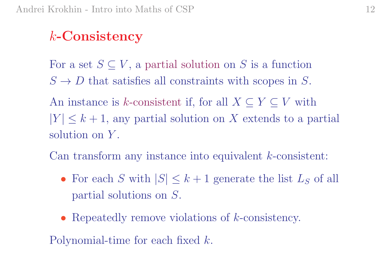## k-Consistency

For a set  $S \subseteq V$ , a partial solution on S is a function  $S \to D$  that satisfies all constraints with scopes in S.

An instance is k-consistent if, for all  $X \subseteq Y \subseteq V$  with  $|Y| \leq k+1$ , any partial solution on X extends to a partial solution on Y .

Can transform any instance into equivalent k-consistent:

- For each S with  $|S| \leq k+1$  generate the list  $L_S$  of all partial solutions on S.
- Repeatedly remove violations of *k*-consistency.

Polynomial-time for each fixed k.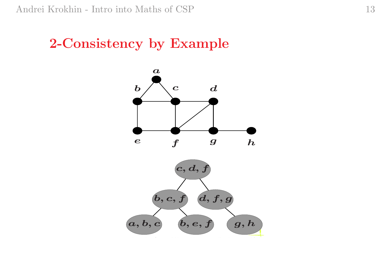#### 2-Consistency by Example

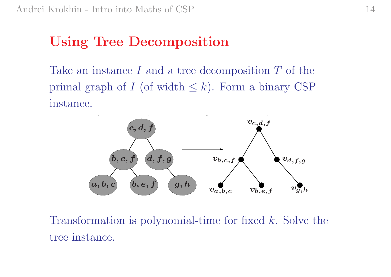## Using Tree Decomposition

Take an instance I and a tree decomposition T of the primal graph of  $I$  (of width  $\leq k$ ). Form a binary CSP  $\text{instance.}$ 



Transformation is polynomial-time for fixed k. Solve the tree instance.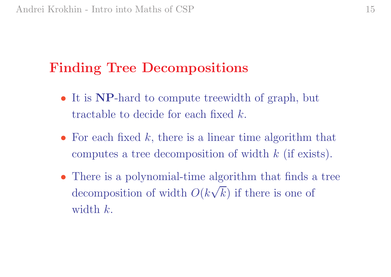## Finding Tree Decompositions

- It is NP-hard to compute treewidth of graph, but tractable to decide for each fixed  $k$ .
- For each fixed  $k$ , there is a linear time algorithm that computes a tree decomposition of width  $k$  (if exists).
- There is a polynomial-time algorithm that finds a tree There is a polynomial-time algorithm that mus a<br>decomposition of width  $O(k\sqrt{k})$  if there is one of width  $k$ .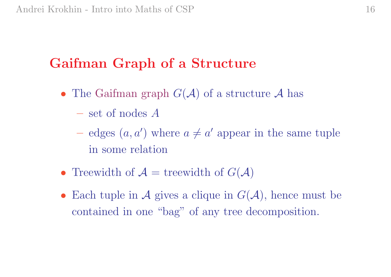## Gaifman Graph of a Structure

- The Gaifman graph  $G(\mathcal{A})$  of a structure  $\mathcal{A}$  has
	- set of nodes A
	- edges  $(a, a')$  where  $a \neq a'$  appear in the same tuple in some relation
- Treewidth of  $\mathcal{A} =$  treewidth of  $G(\mathcal{A})$
- Each tuple in A gives a clique in  $G(\mathcal{A})$ , hence must be contained in one "bag" of any tree decomposition.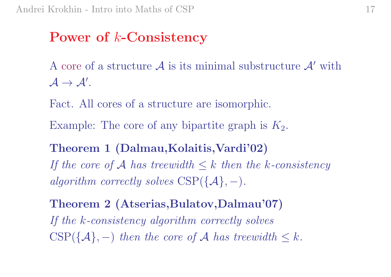### ${\bf Power\,\, of\,\, }k\text{-}\bf{Consistency}$

A core of a structure  $\mathcal A$  is its minimal substructure  $\mathcal A'$  with  $\mathcal{A} \to \mathcal{A}'$  .

Fact. All cores of <sup>a</sup> structure are isomorphic.

Example: The core of any bipartite graph is  $K_2$ .

Theorem <sup>1</sup> (Dalmau,Kolaitis,Vardi'02) If the core of A has treewidth  $\leq k$  then the k-consistency  $algorithm\ correctly\ solves\ CSP(\{\mathcal{A}\},-) .$ 

Theorem <sup>2</sup> (Atserias,Bulatov,Dalmau'07) If the k-consistency algorithm correctly solves  $CSP({A},-)$  then the core of A has treewidth  $\leq k$ .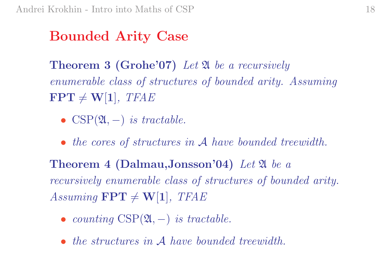### Bounded Arity Case

**Theorem 3 (Grohe'07)** Let  $\mathfrak A$  be a recursively enumerable class of structures of bounded arity. Assuming  $\textbf{FPT}\neq \textbf{W}[1], \textit{TFAE}$ 

- $CSP(2l, -)$  is tractable.
- the cores of structures in A have bounded treewidth.

 $\bf Theorem~4~(Dalmau, Jonsson'04)$   $Let~\mathfrak A ~be~a$ recursively enumerable class of structures of bounded arity.  $Assuming \textbf{ FPT} \neq \textbf{W[1]}, \textit{TFAE}$ 

- counting  $CSP(2l, -)$  is tractable.
- the structures in A have bounded treewidth.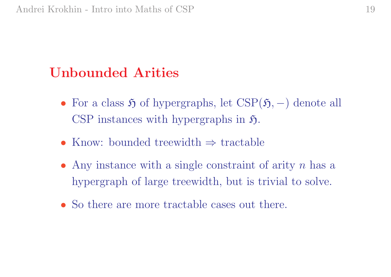### Unbounded Arities

- For a class  $\mathfrak H$  of hypergraphs, let  $CSP(\mathfrak H, -)$  denote all CSP instances with hypergraphs in  $\mathfrak{H}$ .
- Know: bounded treewidth <sup>⇒</sup> tractable
- Any instance with a single constraint of arity  $n$  has a hypergraph of large treewidth, but is trivial to solve.
- So there are more tractable cases out there.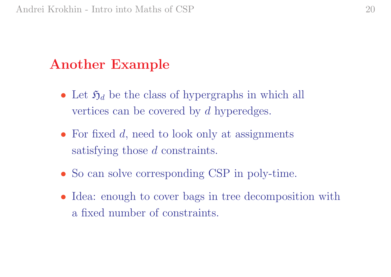### Another Example

- Let  $\mathfrak{H}_d$  be the class of hypergraphs in which all vertices can be covered by d hyperedges.
- For fixed  $d$ , need to look only at assignments satisfying those d constraints.
- So can solve corresponding CSP in poly-time.
- Idea: enough to cover bags in tree decomposition with a fixed number of constraints.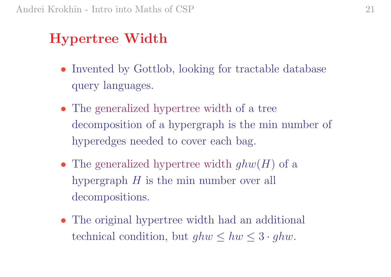## Hypertree Width

- Invented by Gottlob, looking for tractable database query languages.
- The generalized hypertree width of a tree decomposition of <sup>a</sup> hypergraph is the min number of hyperedges needed to cover each bag.
- The generalized hypertree width  $ghw(H)$  of a hypergraph H is the min number over all decompositions.
- The original hypertree width had an additional technical condition, but  $ghw \leq hw \leq 3 \cdot ghw$ .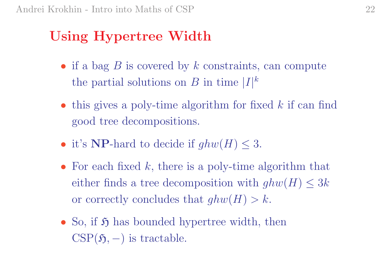## Using Hypertree Width

- if a bag  $B$  is covered by  $k$  constraints, can compute the partial solutions on B in time  $|I|^k$
- this gives a poly-time algorithm for fixed  $k$  if can find good tree decompositions.
- it's **NP**-hard to decide if  $ghw(H) \leq 3$ .
- For each fixed  $k$ , there is a poly-time algorithm that either finds a tree decomposition with  $ghw(H) \leq 3k$ or correctly concludes that  $ghw(H) > k$ .
- So, if  $\mathfrak H$  has bounded hypertree width, then  $\mathrm{CSP}(\mathfrak{H},-)$  is tractable.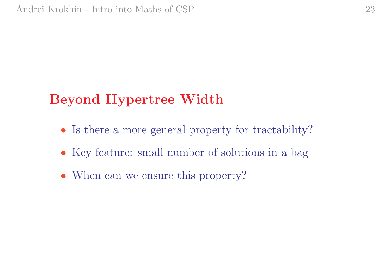## Beyond Hypertree Width

- Is there a more general property for tractability?
- Key feature: small number of solutions in a bag
- When can we ensure this property?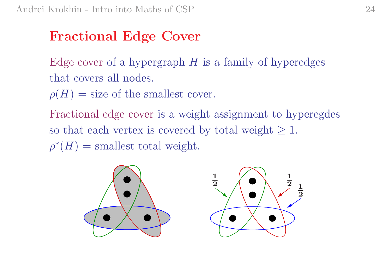## Fractional Edge Cover

Edge cover of a hypergraph  $H$  is a family of hyperedges that covers all nodes.

 $\rho(H) =$  size of the smallest cover.

Fractional edge cover is <sup>a</sup> weight assignment to hyperegdes so that each vertex is covered by total weight  $\geq 1$ .  $\rho^*(H) = \text{smallest total weight.}$ 

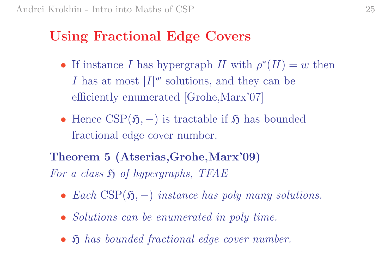### Using Fractional Edge Covers

- If instance I has hypergraph H with  $\rho^*(H) = w$  then I has at most  $|I|^w$  solutions, and they can be efficiently enumerated [Grohe,Marx'07]
- Hence  $CSP(5, -)$  is tractable if  $5$  has bounded fractional edge cover number.

Theorem <sup>5</sup> (Atserias,Grohe,Marx'09) For a class  $\mathfrak H$  of hypergraphs, TFAE

- Each  $CSP(5, -)$  instance has poly many solutions.
- Solutions can be enumerated in poly time.
- $\mathfrak H$  has bounded fractional edge cover number.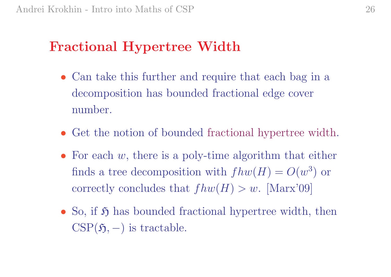#### Fractional Hypertree Width

- Can take this further and require that each bag in a decomposition has bounded fractional edge cover number.
- Get the notion of bounded fractional hypertree width.
- For each  $w$ , there is a poly-time algorithm that either finds a tree decomposition with  $fhw(H) = O(w^3)$  or correctly concludes that  $fhw(H) > w$ . [Marx'09]
- So, if  $\mathfrak H$  has bounded fractional hypertree width, then  $\mathrm{CSP}(\mathfrak{H},-)$  is tractable.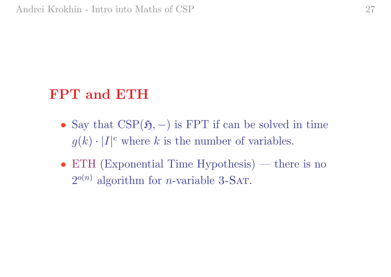## FPT and ETH

- Say that  $CSP(5, -)$  is FPT if can be solved in time  $g(k) \cdot |I|^c$  where k is the number of variables.
- ETH (Exponential Time Hypothesis) there is no  $2^{o(n)}$  algorithm for *n*-variable 3-SAT.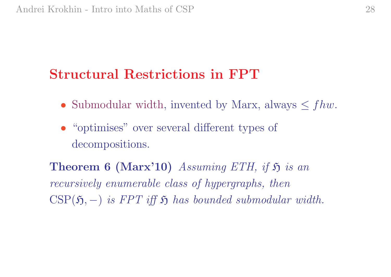## Structural Restrictions in FPT

- Submodular width, invented by Marx, always  $\leq fhw$ .
- "optimises" over several different types of decompositions.

**Theorem 6 (Marx'10)** Assuming ETH, if  $\mathfrak{H}$  is an recursively enumerable class of hypergraphs, then  $\mathrm{CSP}(\mathfrak{H},-)$  is FPT iff  $\mathfrak H$  has bounded submodular width.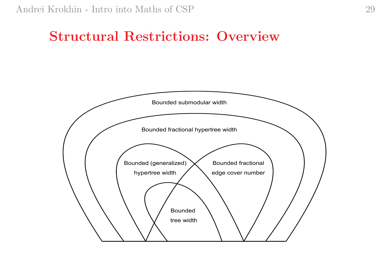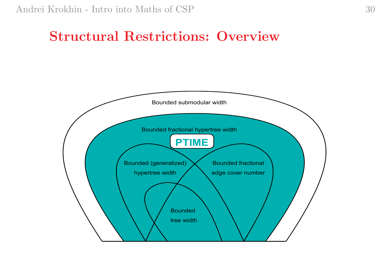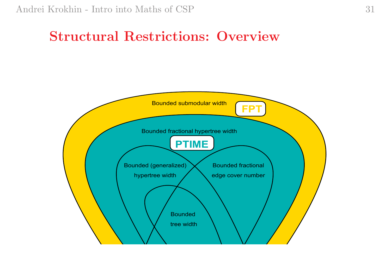